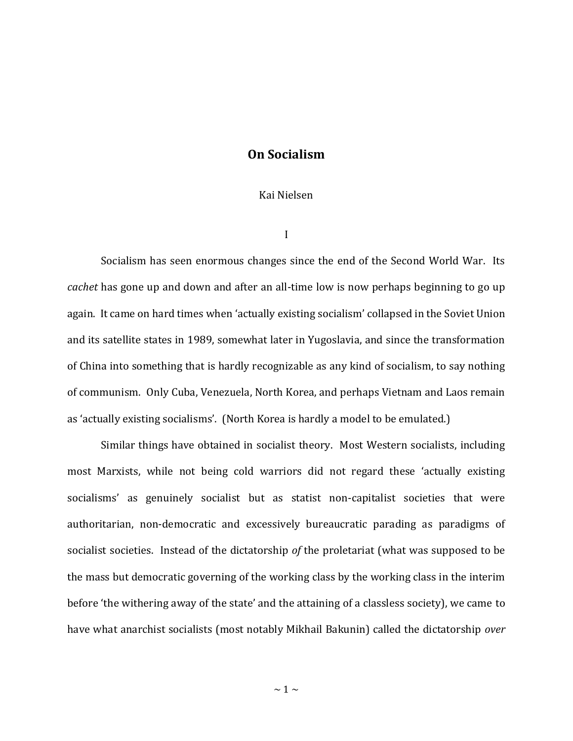## **On Socialism**

## Kai Nielsen

I

Socialism has seen enormous changes since the end of the Second World War. Its *cachet* has gone up and down and after an all-time low is now perhaps beginning to go up again. It came on hard times when 'actually existing socialism' collapsed in the Soviet Union and its satellite states in 1989, somewhat later in Yugoslavia, and since the transformation of China into something that is hardly recognizable as any kind of socialism, to say nothing of communism. Only Cuba, Venezuela, North Korea, and perhaps Vietnam and Laos remain as 'actually existing socialisms'. (North Korea is hardly a model to be emulated.)

Similar things have obtained in socialist theory. Most Western socialists, including most Marxists, while not being cold warriors did not regard these 'actually existing socialisms' as genuinely socialist but as statist non-capitalist societies that were authoritarian, non-democratic and excessively bureaucratic parading as paradigms of socialist societies. Instead of the dictatorship *of* the proletariat (what was supposed to be the mass but democratic governing of the working class by the working class in the interim before 'the withering away of the state' and the attaining of a classless society), we came to have what anarchist socialists (most notably Mikhail Bakunin) called the dictatorship *over*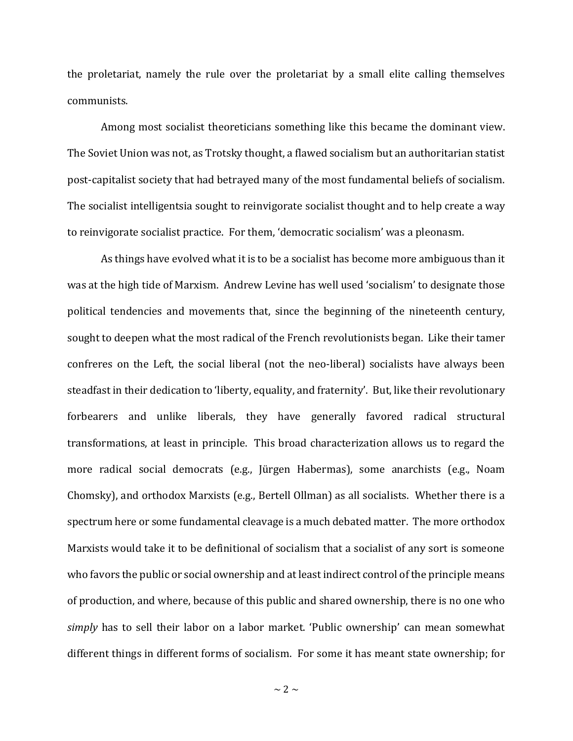the proletariat, namely the rule over the proletariat by a small elite calling themselves communists.

Among most socialist theoreticians something like this became the dominant view. The Soviet Union was not, as Trotsky thought, a flawed socialism but an authoritarian statist post-capitalist society that had betrayed many of the most fundamental beliefs of socialism. The socialist intelligentsia sought to reinvigorate socialist thought and to help create a way to reinvigorate socialist practice. For them, 'democratic socialism' was a pleonasm.

As things have evolved what it is to be a socialist has become more ambiguous than it was at the high tide of Marxism. Andrew Levine has well used 'socialism' to designate those political tendencies and movements that, since the beginning of the nineteenth century, sought to deepen what the most radical of the French revolutionists began. Like their tamer confreres on the Left, the social liberal (not the neo-liberal) socialists have always been steadfast in their dedication to 'liberty, equality, and fraternity'. But, like their revolutionary forbearers and unlike liberals, they have generally favored radical structural transformations, at least in principle. This broad characterization allows us to regard the more radical social democrats (e.g., Jürgen Habermas), some anarchists (e.g., Noam Chomsky), and orthodox Marxists (e.g., Bertell Ollman) as all socialists. Whether there is a spectrum here or some fundamental cleavage is a much debated matter. The more orthodox Marxists would take it to be definitional of socialism that a socialist of any sort is someone who favors the public or social ownership and at least indirect control of the principle means of production, and where, because of this public and shared ownership, there is no one who *simply* has to sell their labor on a labor market. 'Public ownership' can mean somewhat different things in different forms of socialism. For some it has meant state ownership; for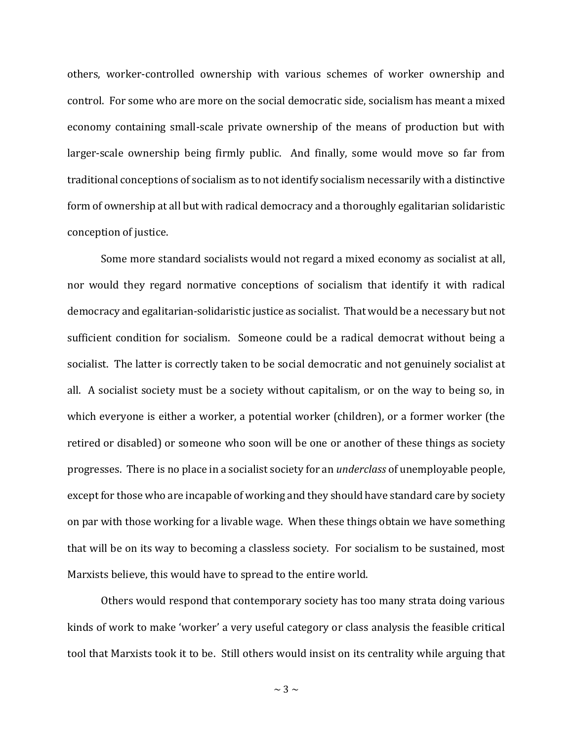others, worker-controlled ownership with various schemes of worker ownership and control. For some who are more on the social democratic side, socialism has meant a mixed economy containing small-scale private ownership of the means of production but with larger-scale ownership being firmly public. And finally, some would move so far from traditional conceptions of socialism as to not identify socialism necessarily with a distinctive form of ownership at all but with radical democracy and a thoroughly egalitarian solidaristic conception of justice.

Some more standard socialists would not regard a mixed economy as socialist at all, nor would they regard normative conceptions of socialism that identify it with radical democracy and egalitarian-solidaristic justice as socialist. That would be a necessary but not sufficient condition for socialism. Someone could be a radical democrat without being a socialist. The latter is correctly taken to be social democratic and not genuinely socialist at all. A socialist society must be a society without capitalism, or on the way to being so, in which everyone is either a worker, a potential worker (children), or a former worker (the retired or disabled) or someone who soon will be one or another of these things as society progresses. There is no place in a socialist society for an *underclass* of unemployable people, except for those who are incapable of working and they should have standard care by society on par with those working for a livable wage. When these things obtain we have something that will be on its way to becoming a classless society. For socialism to be sustained, most Marxists believe, this would have to spread to the entire world.

Others would respond that contemporary society has too many strata doing various kinds of work to make 'worker' a very useful category or class analysis the feasible critical tool that Marxists took it to be. Still others would insist on its centrality while arguing that

 $\sim$  3  $\sim$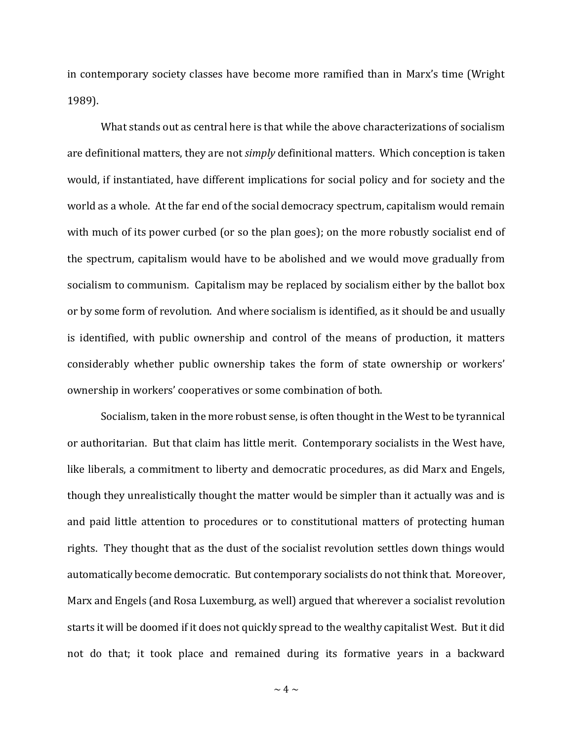in contemporary society classes have become more ramified than in Marx's time (Wright 1989).

What stands out as central here is that while the above characterizations of socialism are definitional matters, they are not *simply* definitional matters. Which conception is taken would, if instantiated, have different implications for social policy and for society and the world as a whole. At the far end of the social democracy spectrum, capitalism would remain with much of its power curbed (or so the plan goes); on the more robustly socialist end of the spectrum, capitalism would have to be abolished and we would move gradually from socialism to communism. Capitalism may be replaced by socialism either by the ballot box or by some form of revolution. And where socialism is identified, as it should be and usually is identified, with public ownership and control of the means of production, it matters considerably whether public ownership takes the form of state ownership or workers' ownership in workers' cooperatives or some combination of both.

Socialism, taken in the more robust sense, is often thought in the West to be tyrannical or authoritarian. But that claim has little merit. Contemporary socialists in the West have, like liberals, a commitment to liberty and democratic procedures, as did Marx and Engels, though they unrealistically thought the matter would be simpler than it actually was and is and paid little attention to procedures or to constitutional matters of protecting human rights. They thought that as the dust of the socialist revolution settles down things would automatically become democratic. But contemporary socialists do not think that. Moreover, Marx and Engels (and Rosa Luxemburg, as well) argued that wherever a socialist revolution starts it will be doomed if it does not quickly spread to the wealthy capitalist West. But it did not do that; it took place and remained during its formative years in a backward

 $\sim$  4  $\sim$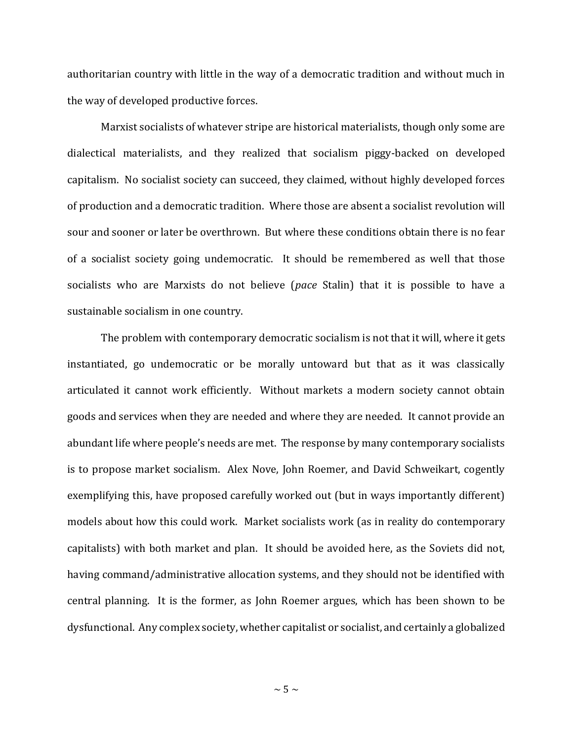authoritarian country with little in the way of a democratic tradition and without much in the way of developed productive forces.

Marxist socialists of whatever stripe are historical materialists, though only some are dialectical materialists, and they realized that socialism piggy-backed on developed capitalism. No socialist society can succeed, they claimed, without highly developed forces of production and a democratic tradition. Where those are absent a socialist revolution will sour and sooner or later be overthrown. But where these conditions obtain there is no fear of a socialist society going undemocratic. It should be remembered as well that those socialists who are Marxists do not believe (*pace* Stalin) that it is possible to have a sustainable socialism in one country.

The problem with contemporary democratic socialism is not that it will, where it gets instantiated, go undemocratic or be morally untoward but that as it was classically articulated it cannot work efficiently. Without markets a modern society cannot obtain goods and services when they are needed and where they are needed. It cannot provide an abundant life where people's needs are met. The response by many contemporary socialists is to propose market socialism. Alex Nove, John Roemer, and David Schweikart, cogently exemplifying this, have proposed carefully worked out (but in ways importantly different) models about how this could work. Market socialists work (as in reality do contemporary capitalists) with both market and plan. It should be avoided here, as the Soviets did not, having command/administrative allocation systems, and they should not be identified with central planning. It is the former, as John Roemer argues, which has been shown to be dysfunctional. Any complex society, whether capitalist or socialist, and certainly a globalized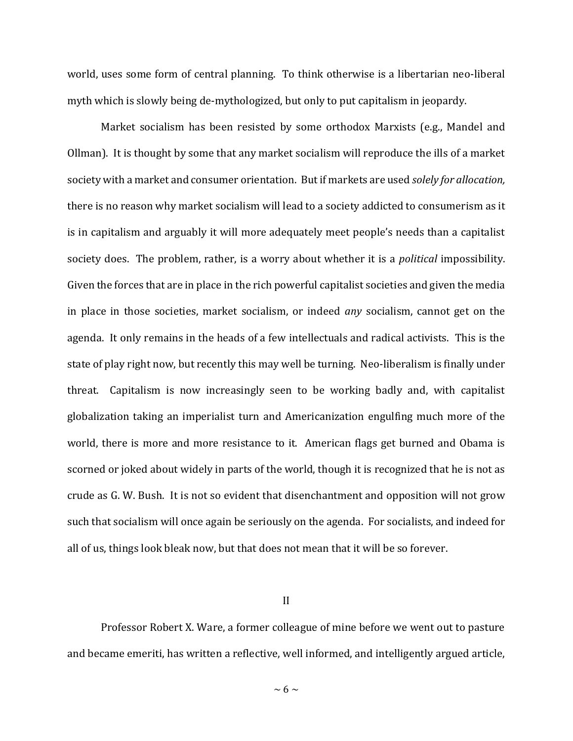world, uses some form of central planning. To think otherwise is a libertarian neo-liberal myth which is slowly being de-mythologized, but only to put capitalism in jeopardy.

Market socialism has been resisted by some orthodox Marxists (e.g., Mandel and Ollman). It is thought by some that any market socialism will reproduce the ills of a market society with a market and consumer orientation. But if markets are used *solely for allocation,*  there is no reason why market socialism will lead to a society addicted to consumerism as it is in capitalism and arguably it will more adequately meet people's needs than a capitalist society does. The problem, rather, is a worry about whether it is a *political* impossibility. Given the forces that are in place in the rich powerful capitalist societies and given the media in place in those societies, market socialism, or indeed *any* socialism, cannot get on the agenda. It only remains in the heads of a few intellectuals and radical activists. This is the state of play right now, but recently this may well be turning. Neo-liberalism is finally under threat. Capitalism is now increasingly seen to be working badly and, with capitalist globalization taking an imperialist turn and Americanization engulfing much more of the world, there is more and more resistance to it. American flags get burned and Obama is scorned or joked about widely in parts of the world, though it is recognized that he is not as crude as G. W. Bush. It is not so evident that disenchantment and opposition will not grow such that socialism will once again be seriously on the agenda. For socialists, and indeed for all of us, things look bleak now, but that does not mean that it will be so forever.

II

Professor Robert X. Ware, a former colleague of mine before we went out to pasture and became emeriti, has written a reflective, well informed, and intelligently argued article,

 $\sim 6 \sim$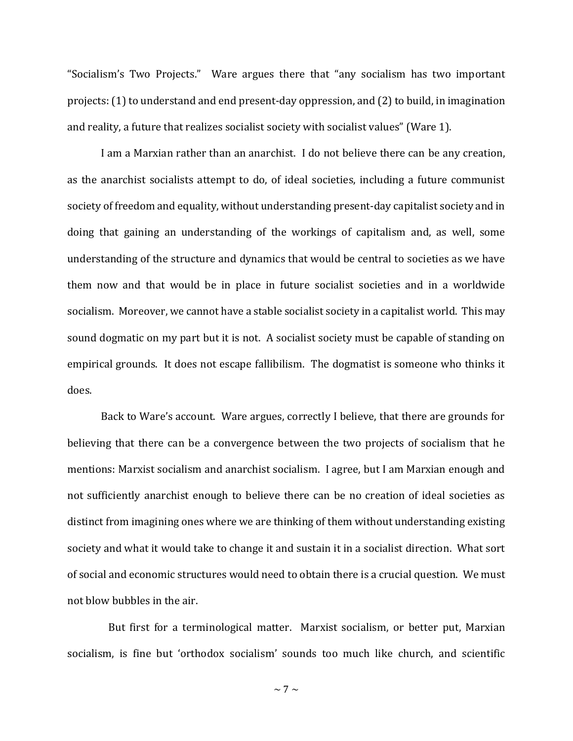"Socialism's Two Projects." Ware argues there that "any socialism has two important projects: (1) to understand and end present-day oppression, and (2) to build, in imagination and reality, a future that realizes socialist society with socialist values" (Ware 1).

I am a Marxian rather than an anarchist. I do not believe there can be any creation, as the anarchist socialists attempt to do, of ideal societies, including a future communist society of freedom and equality, without understanding present-day capitalist society and in doing that gaining an understanding of the workings of capitalism and, as well, some understanding of the structure and dynamics that would be central to societies as we have them now and that would be in place in future socialist societies and in a worldwide socialism. Moreover, we cannot have a stable socialist society in a capitalist world. This may sound dogmatic on my part but it is not. A socialist society must be capable of standing on empirical grounds. It does not escape fallibilism. The dogmatist is someone who thinks it does.

Back to Ware's account. Ware argues, correctly I believe, that there are grounds for believing that there can be a convergence between the two projects of socialism that he mentions: Marxist socialism and anarchist socialism. I agree, but I am Marxian enough and not sufficiently anarchist enough to believe there can be no creation of ideal societies as distinct from imagining ones where we are thinking of them without understanding existing society and what it would take to change it and sustain it in a socialist direction. What sort of social and economic structures would need to obtain there is a crucial question. We must not blow bubbles in the air.

 But first for a terminological matter. Marxist socialism, or better put, Marxian socialism, is fine but 'orthodox socialism' sounds too much like church, and scientific

 $\sim$  7  $\sim$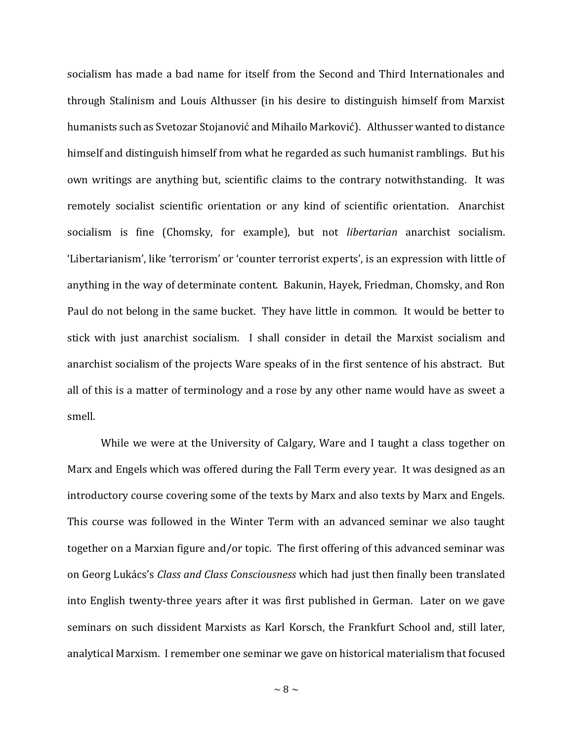socialism has made a bad name for itself from the Second and Third Internationales and through Stalinism and Louis Althusser (in his desire to distinguish himself from Marxist humanists such as Svetozar Stojanović and Mihailo Marković). Althusser wanted to distance himself and distinguish himself from what he regarded as such humanist ramblings. But his own writings are anything but, scientific claims to the contrary notwithstanding. It was remotely socialist scientific orientation or any kind of scientific orientation. Anarchist socialism is fine (Chomsky, for example), but not *libertarian* anarchist socialism. 'Libertarianism', like 'terrorism' or 'counter terrorist experts', is an expression with little of anything in the way of determinate content. Bakunin, Hayek, Friedman, Chomsky, and Ron Paul do not belong in the same bucket. They have little in common. It would be better to stick with just anarchist socialism. I shall consider in detail the Marxist socialism and anarchist socialism of the projects Ware speaks of in the first sentence of his abstract. But all of this is a matter of terminology and a rose by any other name would have as sweet a smell.

While we were at the University of Calgary, Ware and I taught a class together on Marx and Engels which was offered during the Fall Term every year. It was designed as an introductory course covering some of the texts by Marx and also texts by Marx and Engels. This course was followed in the Winter Term with an advanced seminar we also taught together on a Marxian figure and/or topic. The first offering of this advanced seminar was on Georg Lukács's *Class and Class Consciousness* which had just then finally been translated into English twenty-three years after it was first published in German. Later on we gave seminars on such dissident Marxists as Karl Korsch, the Frankfurt School and, still later, analytical Marxism. I remember one seminar we gave on historical materialism that focused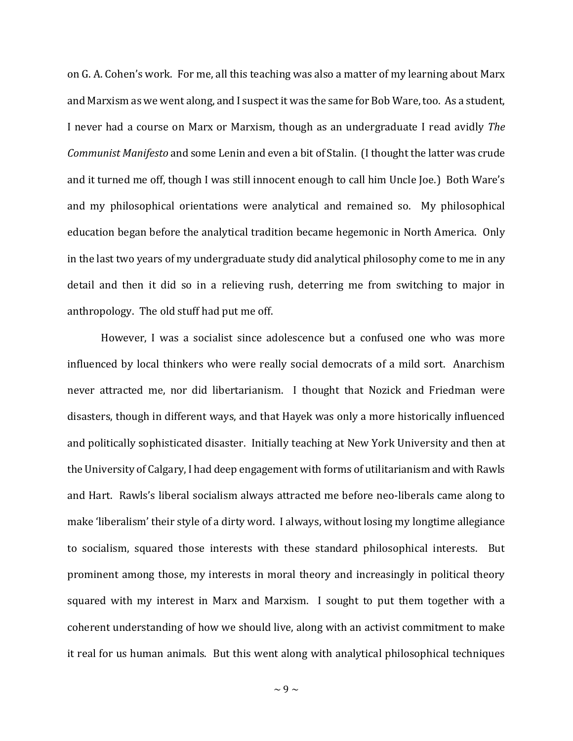on G. A. Cohen's work. For me, all this teaching was also a matter of my learning about Marx and Marxism as we went along, and I suspect it was the same for Bob Ware, too. As a student, I never had a course on Marx or Marxism, though as an undergraduate I read avidly *The Communist Manifesto* and some Lenin and even a bit of Stalin. (I thought the latter was crude and it turned me off, though I was still innocent enough to call him Uncle Joe.) Both Ware's and my philosophical orientations were analytical and remained so. My philosophical education began before the analytical tradition became hegemonic in North America. Only in the last two years of my undergraduate study did analytical philosophy come to me in any detail and then it did so in a relieving rush, deterring me from switching to major in anthropology. The old stuff had put me off.

However, I was a socialist since adolescence but a confused one who was more influenced by local thinkers who were really social democrats of a mild sort. Anarchism never attracted me, nor did libertarianism. I thought that Nozick and Friedman were disasters, though in different ways, and that Hayek was only a more historically influenced and politically sophisticated disaster. Initially teaching at New York University and then at the University of Calgary, I had deep engagement with forms of utilitarianism and with Rawls and Hart. Rawls's liberal socialism always attracted me before neo-liberals came along to make 'liberalism' their style of a dirty word. I always, without losing my longtime allegiance to socialism, squared those interests with these standard philosophical interests. But prominent among those, my interests in moral theory and increasingly in political theory squared with my interest in Marx and Marxism. I sought to put them together with a coherent understanding of how we should live, along with an activist commitment to make it real for us human animals. But this went along with analytical philosophical techniques

 $\sim$  9  $\sim$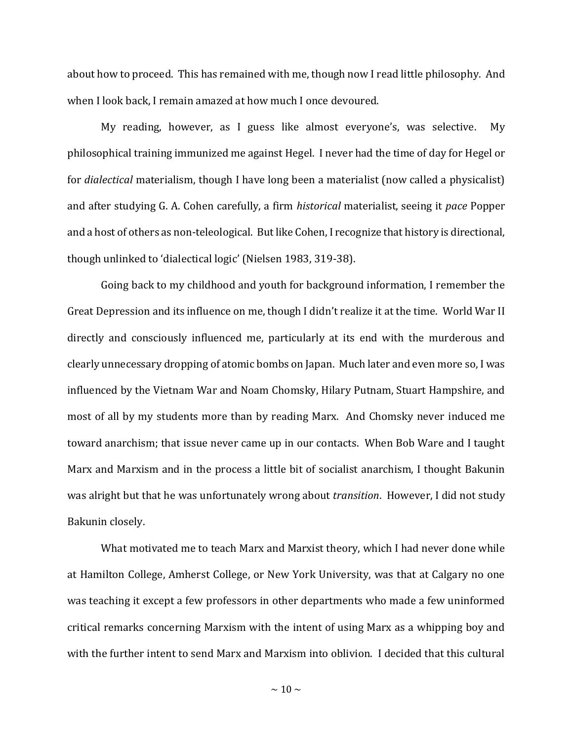about how to proceed. This has remained with me, though now I read little philosophy. And when I look back, I remain amazed at how much I once devoured.

My reading, however, as I guess like almost everyone's, was selective. My philosophical training immunized me against Hegel. I never had the time of day for Hegel or for *dialectical* materialism, though I have long been a materialist (now called a physicalist) and after studying G. A. Cohen carefully, a firm *historical* materialist, seeing it *pace* Popper and a host of others as non-teleological. But like Cohen, I recognize that history is directional, though unlinked to 'dialectical logic' (Nielsen 1983, 319-38).

Going back to my childhood and youth for background information, I remember the Great Depression and its influence on me, though I didn't realize it at the time. World War II directly and consciously influenced me, particularly at its end with the murderous and clearly unnecessary dropping of atomic bombs on Japan. Much later and even more so, I was influenced by the Vietnam War and Noam Chomsky, Hilary Putnam, Stuart Hampshire, and most of all by my students more than by reading Marx. And Chomsky never induced me toward anarchism; that issue never came up in our contacts. When Bob Ware and I taught Marx and Marxism and in the process a little bit of socialist anarchism, I thought Bakunin was alright but that he was unfortunately wrong about *transition*. However, I did not study Bakunin closely.

What motivated me to teach Marx and Marxist theory, which I had never done while at Hamilton College, Amherst College, or New York University, was that at Calgary no one was teaching it except a few professors in other departments who made a few uninformed critical remarks concerning Marxism with the intent of using Marx as a whipping boy and with the further intent to send Marx and Marxism into oblivion. I decided that this cultural

 $\sim$  10  $\sim$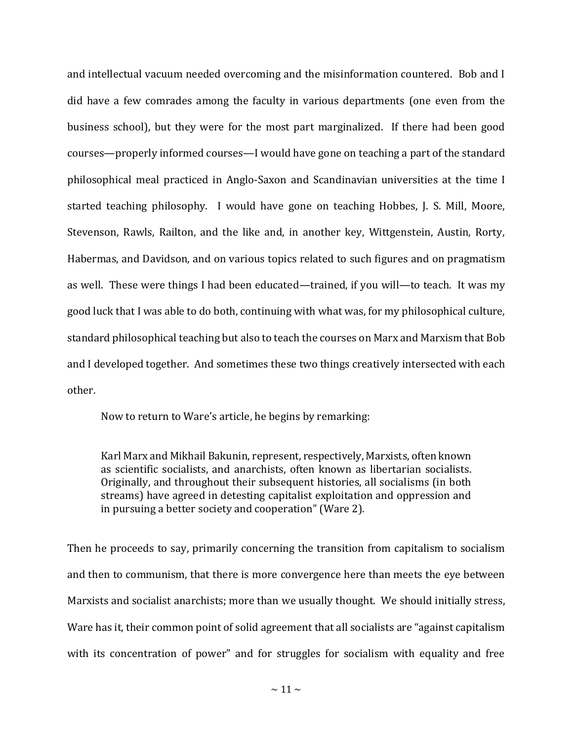and intellectual vacuum needed overcoming and the misinformation countered. Bob and I did have a few comrades among the faculty in various departments (one even from the business school), but they were for the most part marginalized. If there had been good courses—properly informed courses—I would have gone on teaching a part of the standard philosophical meal practiced in Anglo-Saxon and Scandinavian universities at the time I started teaching philosophy. I would have gone on teaching Hobbes, J. S. Mill, Moore, Stevenson, Rawls, Railton, and the like and, in another key, Wittgenstein, Austin, Rorty, Habermas, and Davidson, and on various topics related to such figures and on pragmatism as well. These were things I had been educated—trained, if you will—to teach. It was my good luck that I was able to do both, continuing with what was, for my philosophical culture, standard philosophical teaching but also to teach the courses on Marx and Marxism that Bob and I developed together. And sometimes these two things creatively intersected with each other.

Now to return to Ware's article, he begins by remarking:

Karl Marx and Mikhail Bakunin, represent, respectively, Marxists, often known as scientific socialists, and anarchists, often known as libertarian socialists. Originally, and throughout their subsequent histories, all socialisms (in both streams) have agreed in detesting capitalist exploitation and oppression and in pursuing a better society and cooperation" (Ware 2).

Then he proceeds to say, primarily concerning the transition from capitalism to socialism and then to communism, that there is more convergence here than meets the eye between Marxists and socialist anarchists; more than we usually thought. We should initially stress, Ware has it, their common point of solid agreement that all socialists are "against capitalism with its concentration of power" and for struggles for socialism with equality and free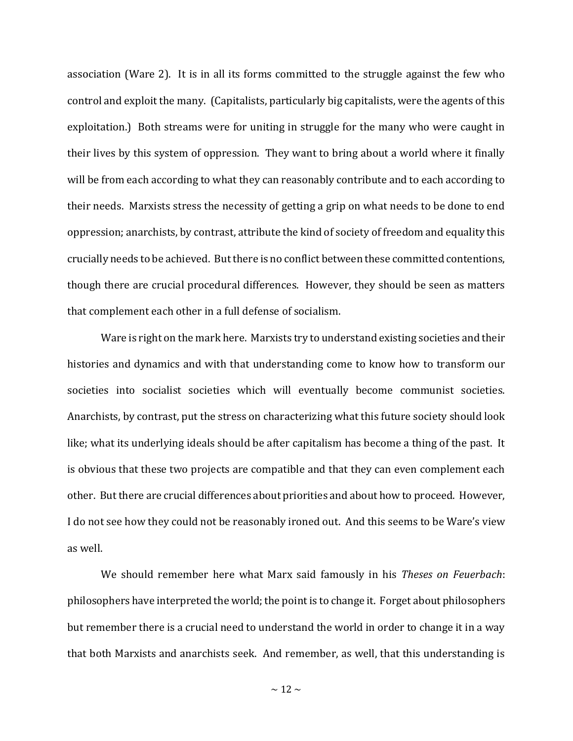association (Ware 2). It is in all its forms committed to the struggle against the few who control and exploit the many. (Capitalists, particularly big capitalists, were the agents of this exploitation.) Both streams were for uniting in struggle for the many who were caught in their lives by this system of oppression. They want to bring about a world where it finally will be from each according to what they can reasonably contribute and to each according to their needs. Marxists stress the necessity of getting a grip on what needs to be done to end oppression; anarchists, by contrast, attribute the kind of society of freedom and equality this crucially needs to be achieved. But there is no conflict between these committed contentions, though there are crucial procedural differences. However, they should be seen as matters that complement each other in a full defense of socialism.

Ware is right on the mark here. Marxists try to understand existing societies and their histories and dynamics and with that understanding come to know how to transform our societies into socialist societies which will eventually become communist societies. Anarchists, by contrast, put the stress on characterizing what this future society should look like; what its underlying ideals should be after capitalism has become a thing of the past. It is obvious that these two projects are compatible and that they can even complement each other. But there are crucial differences about priorities and about how to proceed. However, I do not see how they could not be reasonably ironed out. And this seems to be Ware's view as well.

We should remember here what Marx said famously in his *Theses on Feuerbach*: philosophers have interpreted the world; the point is to change it. Forget about philosophers but remember there is a crucial need to understand the world in order to change it in a way that both Marxists and anarchists seek. And remember, as well, that this understanding is

 $\sim$  12  $\sim$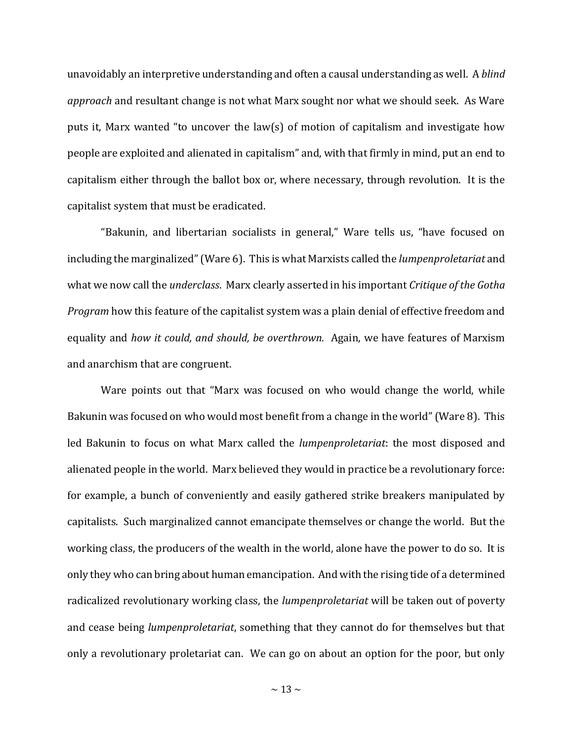unavoidably an interpretive understanding and often a causal understanding as well. A *blind approach* and resultant change is not what Marx sought nor what we should seek. As Ware puts it, Marx wanted "to uncover the law(s) of motion of capitalism and investigate how people are exploited and alienated in capitalism" and, with that firmly in mind, put an end to capitalism either through the ballot box or, where necessary, through revolution. It is the capitalist system that must be eradicated.

"Bakunin, and libertarian socialists in general," Ware tells us, "have focused on including the marginalized" (Ware 6). This is what Marxists called the *lumpenproletariat* and what we now call the *underclass*. Marx clearly asserted in his important *Critique of the Gotha Program* how this feature of the capitalist system was a plain denial of effective freedom and equality and *how it could, and should, be overthrown.* Again, we have features of Marxism and anarchism that are congruent.

Ware points out that "Marx was focused on who would change the world, while Bakunin was focused on who would most benefit from a change in the world" (Ware 8). This led Bakunin to focus on what Marx called the *lumpenproletariat*: the most disposed and alienated people in the world. Marx believed they would in practice be a revolutionary force: for example, a bunch of conveniently and easily gathered strike breakers manipulated by capitalists. Such marginalized cannot emancipate themselves or change the world. But the working class, the producers of the wealth in the world, alone have the power to do so. It is only they who can bring about human emancipation. And with the rising tide of a determined radicalized revolutionary working class, the *lumpenproletariat* will be taken out of poverty and cease being *lumpenproletariat*, something that they cannot do for themselves but that only a revolutionary proletariat can. We can go on about an option for the poor, but only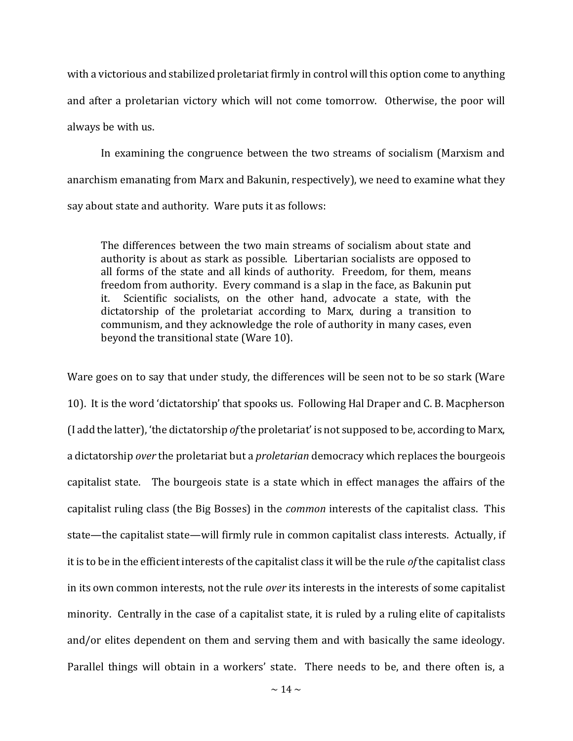with a victorious and stabilized proletariat firmly in control will this option come to anything and after a proletarian victory which will not come tomorrow. Otherwise, the poor will always be with us.

In examining the congruence between the two streams of socialism (Marxism and anarchism emanating from Marx and Bakunin, respectively), we need to examine what they say about state and authority. Ware puts it as follows:

The differences between the two main streams of socialism about state and authority is about as stark as possible. Libertarian socialists are opposed to all forms of the state and all kinds of authority. Freedom, for them, means freedom from authority. Every command is a slap in the face, as Bakunin put it. Scientific socialists, on the other hand, advocate a state, with the dictatorship of the proletariat according to Marx, during a transition to communism, and they acknowledge the role of authority in many cases, even beyond the transitional state (Ware 10).

Ware goes on to say that under study, the differences will be seen not to be so stark (Ware 10). It is the word 'dictatorship' that spooks us. Following Hal Draper and C. B. Macpherson (I add the latter), 'the dictatorship *of*the proletariat' is not supposed to be, according to Marx, a dictatorship *over* the proletariat but a *proletarian* democracy which replaces the bourgeois capitalist state. The bourgeois state is a state which in effect manages the affairs of the capitalist ruling class (the Big Bosses) in the *common* interests of the capitalist class. This state—the capitalist state—will firmly rule in common capitalist class interests. Actually, if it is to be in the efficient interests of the capitalist class it will be the rule *of* the capitalist class in its own common interests, not the rule *over* its interests in the interests of some capitalist minority. Centrally in the case of a capitalist state, it is ruled by a ruling elite of capitalists and/or elites dependent on them and serving them and with basically the same ideology. Parallel things will obtain in a workers' state. There needs to be, and there often is, a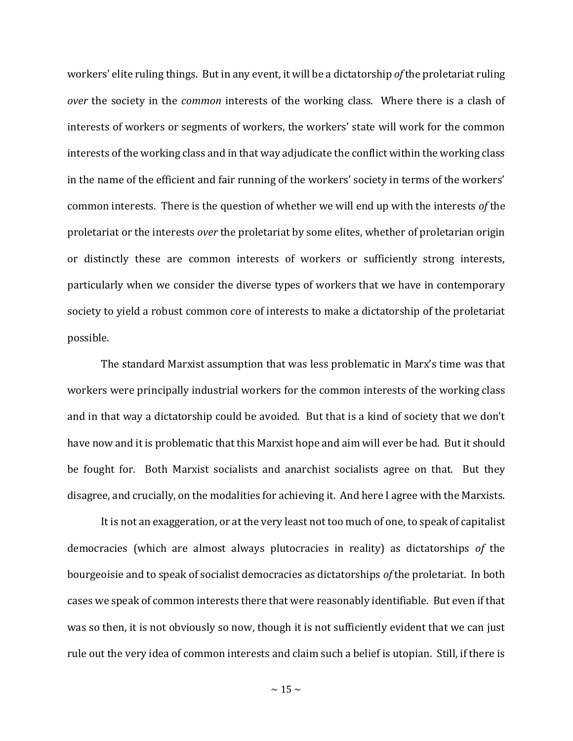workers' elite ruling things. But in any event, it will be a dictatorship *of* the proletariat ruling *over* the society in the *common* interests of the working class. Where there is a clash of interests of workers or segments of workers, the workers' state will work for the common interests of the working class and in that way adjudicate the conflict within the working class in the name of the efficient and fair running of the workers' society in terms of the workers' common interests. There is the question of whether we will end up with the interests *of* the proletariat or the interests *over* the proletariat by some elites, whether of proletarian origin or distinctly these are common interests of workers or sufficiently strong interests, particularly when we consider the diverse types of workers that we have in contemporary society to yield a robust common core of interests to make a dictatorship of the proletariat possible.

The standard Marxist assumption that was less problematic in Marx's time was that workers were principally industrial workers for the common interests of the working class and in that way a dictatorship could be avoided. But that is a kind of society that we don't have now and it is problematic that this Marxist hope and aim will ever be had. But it should be fought for. Both Marxist socialists and anarchist socialists agree on that. But they disagree, and crucially, on the modalities for achieving it. And here I agree with the Marxists.

It is not an exaggeration, or at the very least not too much of one, to speak of capitalist democracies (which are almost always plutocracies in reality) as dictatorships *of* the bourgeoisie and to speak of socialist democracies as dictatorships *of* the proletariat. In both cases we speak of common interests there that were reasonably identifiable. But even if that was so then, it is not obviously so now, though it is not sufficiently evident that we can just rule out the very idea of common interests and claim such a belief is utopian. Still, if there is

 $\sim$  15  $\sim$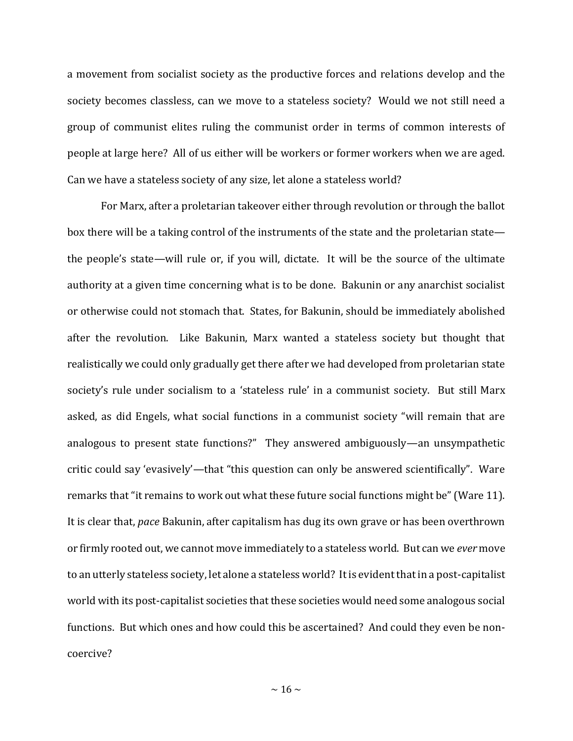a movement from socialist society as the productive forces and relations develop and the society becomes classless, can we move to a stateless society? Would we not still need a group of communist elites ruling the communist order in terms of common interests of people at large here? All of us either will be workers or former workers when we are aged. Can we have a stateless society of any size, let alone a stateless world?

For Marx, after a proletarian takeover either through revolution or through the ballot box there will be a taking control of the instruments of the state and the proletarian state the people's state—will rule or, if you will, dictate. It will be the source of the ultimate authority at a given time concerning what is to be done. Bakunin or any anarchist socialist or otherwise could not stomach that. States, for Bakunin, should be immediately abolished after the revolution. Like Bakunin, Marx wanted a stateless society but thought that realistically we could only gradually get there after we had developed from proletarian state society's rule under socialism to a 'stateless rule' in a communist society. But still Marx asked, as did Engels, what social functions in a communist society "will remain that are analogous to present state functions?" They answered ambiguously—an unsympathetic critic could say 'evasively'—that "this question can only be answered scientifically". Ware remarks that "it remains to work out what these future social functions might be" (Ware 11). It is clear that, *pace* Bakunin, after capitalism has dug its own grave or has been overthrown or firmly rooted out, we cannot move immediately to a stateless world. But can we *ever* move to an utterly stateless society, let alone a stateless world? It is evident that in a post-capitalist world with its post-capitalist societies that these societies would need some analogous social functions. But which ones and how could this be ascertained? And could they even be noncoercive?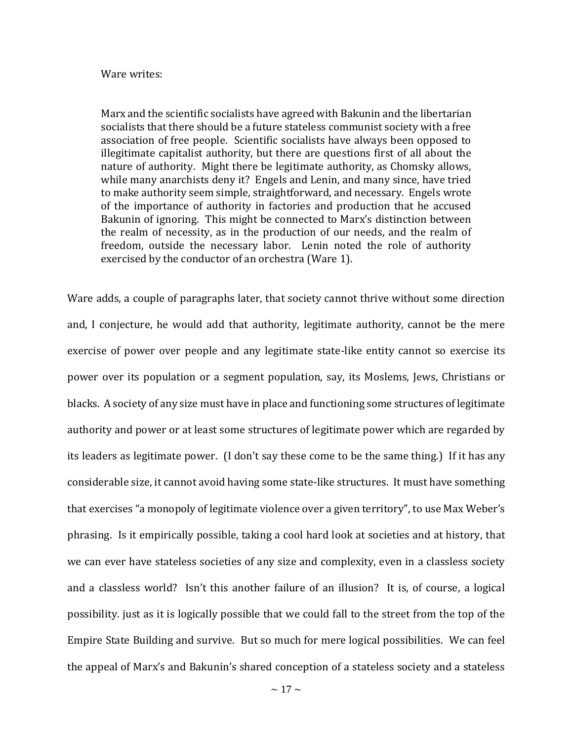## Ware writes:

Marx and the scientific socialists have agreed with Bakunin and the libertarian socialists that there should be a future stateless communist society with a free association of free people. Scientific socialists have always been opposed to illegitimate capitalist authority, but there are questions first of all about the nature of authority. Might there be legitimate authority, as Chomsky allows, while many anarchists deny it? Engels and Lenin, and many since, have tried to make authority seem simple, straightforward, and necessary. Engels wrote of the importance of authority in factories and production that he accused Bakunin of ignoring. This might be connected to Marx's distinction between the realm of necessity, as in the production of our needs, and the realm of freedom, outside the necessary labor. Lenin noted the role of authority exercised by the conductor of an orchestra (Ware 1).

Ware adds, a couple of paragraphs later, that society cannot thrive without some direction and, I conjecture, he would add that authority, legitimate authority, cannot be the mere exercise of power over people and any legitimate state-like entity cannot so exercise its power over its population or a segment population, say, its Moslems, Jews, Christians or blacks. A society of any size must have in place and functioning some structures of legitimate authority and power or at least some structures of legitimate power which are regarded by its leaders as legitimate power. (I don't say these come to be the same thing.) If it has any considerable size, it cannot avoid having some state-like structures. It must have something that exercises "a monopoly of legitimate violence over a given territory", to use Max Weber's phrasing. Is it empirically possible, taking a cool hard look at societies and at history, that we can ever have stateless societies of any size and complexity, even in a classless society and a classless world? Isn't this another failure of an illusion? It is, of course, a logical possibility. just as it is logically possible that we could fall to the street from the top of the Empire State Building and survive. But so much for mere logical possibilities. We can feel the appeal of Marx's and Bakunin's shared conception of a stateless society and a stateless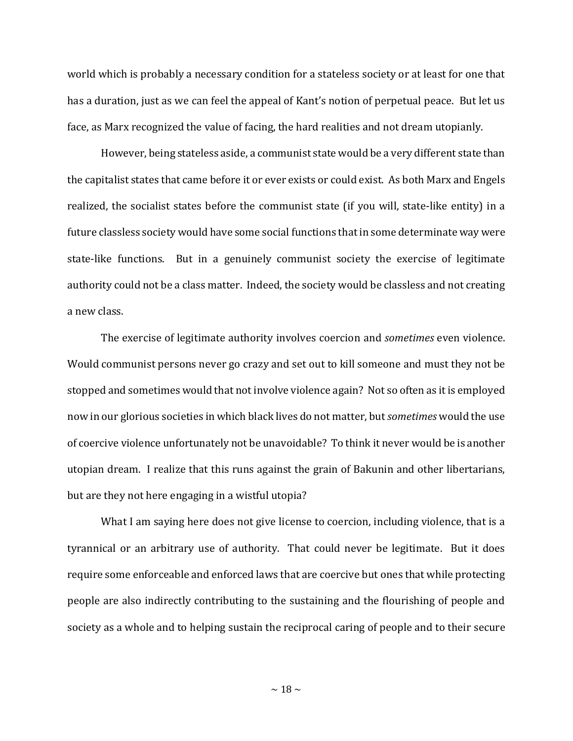world which is probably a necessary condition for a stateless society or at least for one that has a duration, just as we can feel the appeal of Kant's notion of perpetual peace. But let us face, as Marx recognized the value of facing, the hard realities and not dream utopianly.

However, being stateless aside, a communist state would be a very different state than the capitalist states that came before it or ever exists or could exist. As both Marx and Engels realized, the socialist states before the communist state (if you will, state-like entity) in a future classless society would have some social functions that in some determinate way were state-like functions. But in a genuinely communist society the exercise of legitimate authority could not be a class matter. Indeed, the society would be classless and not creating a new class.

The exercise of legitimate authority involves coercion and *sometimes* even violence. Would communist persons never go crazy and set out to kill someone and must they not be stopped and sometimes would that not involve violence again? Not so often as it is employed now in our glorious societies in which black lives do not matter, but *sometimes* would the use of coercive violence unfortunately not be unavoidable? To think it never would be is another utopian dream. I realize that this runs against the grain of Bakunin and other libertarians, but are they not here engaging in a wistful utopia?

What I am saying here does not give license to coercion, including violence, that is a tyrannical or an arbitrary use of authority. That could never be legitimate. But it does require some enforceable and enforced laws that are coercive but ones that while protecting people are also indirectly contributing to the sustaining and the flourishing of people and society as a whole and to helping sustain the reciprocal caring of people and to their secure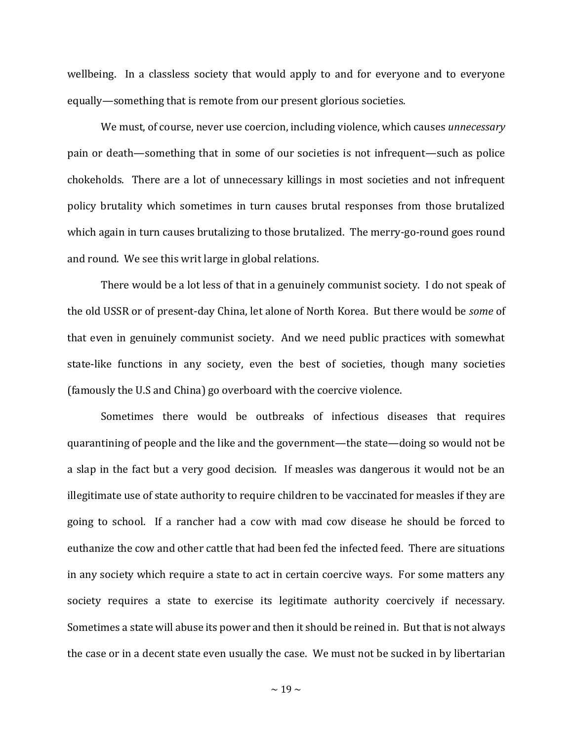wellbeing. In a classless society that would apply to and for everyone and to everyone equally—something that is remote from our present glorious societies.

We must, of course, never use coercion, including violence, which causes *unnecessary*  pain or death—something that in some of our societies is not infrequent—such as police chokeholds. There are a lot of unnecessary killings in most societies and not infrequent policy brutality which sometimes in turn causes brutal responses from those brutalized which again in turn causes brutalizing to those brutalized. The merry-go-round goes round and round. We see this writ large in global relations.

There would be a lot less of that in a genuinely communist society. I do not speak of the old USSR or of present-day China, let alone of North Korea. But there would be *some* of that even in genuinely communist society. And we need public practices with somewhat state-like functions in any society, even the best of societies, though many societies (famously the U.S and China) go overboard with the coercive violence.

Sometimes there would be outbreaks of infectious diseases that requires quarantining of people and the like and the government—the state—doing so would not be a slap in the fact but a very good decision. If measles was dangerous it would not be an illegitimate use of state authority to require children to be vaccinated for measles if they are going to school. If a rancher had a cow with mad cow disease he should be forced to euthanize the cow and other cattle that had been fed the infected feed. There are situations in any society which require a state to act in certain coercive ways. For some matters any society requires a state to exercise its legitimate authority coercively if necessary. Sometimes a state will abuse its power and then it should be reined in. But that is not always the case or in a decent state even usually the case. We must not be sucked in by libertarian

 $\sim$  19  $\sim$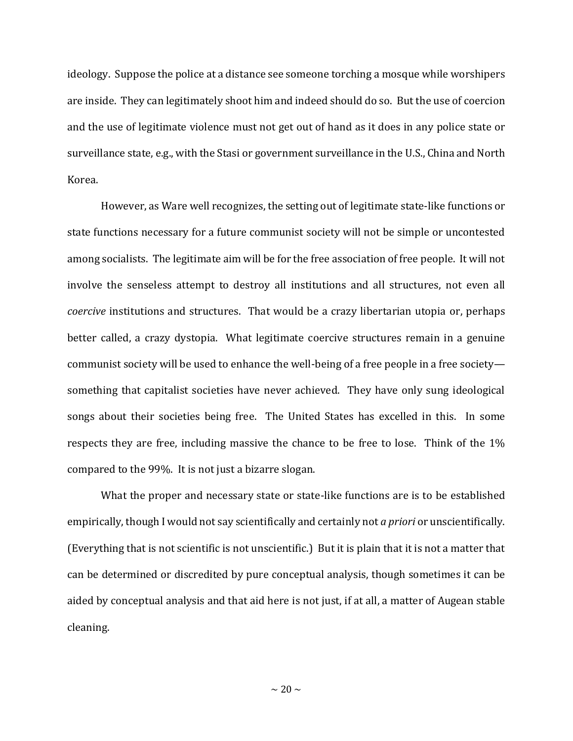ideology. Suppose the police at a distance see someone torching a mosque while worshipers are inside. They can legitimately shoot him and indeed should do so. But the use of coercion and the use of legitimate violence must not get out of hand as it does in any police state or surveillance state, e.g., with the Stasi or government surveillance in the U.S., China and North Korea.

However, as Ware well recognizes, the setting out of legitimate state-like functions or state functions necessary for a future communist society will not be simple or uncontested among socialists. The legitimate aim will be for the free association of free people. It will not involve the senseless attempt to destroy all institutions and all structures, not even all *coercive* institutions and structures. That would be a crazy libertarian utopia or, perhaps better called, a crazy dystopia. What legitimate coercive structures remain in a genuine communist society will be used to enhance the well-being of a free people in a free society something that capitalist societies have never achieved. They have only sung ideological songs about their societies being free. The United States has excelled in this. In some respects they are free, including massive the chance to be free to lose. Think of the 1% compared to the 99%. It is not just a bizarre slogan.

What the proper and necessary state or state-like functions are is to be established empirically, though I would not say scientifically and certainly not *a priori* or unscientifically. (Everything that is not scientific is not unscientific.) But it is plain that it is not a matter that can be determined or discredited by pure conceptual analysis, though sometimes it can be aided by conceptual analysis and that aid here is not just, if at all, a matter of Augean stable cleaning.

 $\sim$  20  $\sim$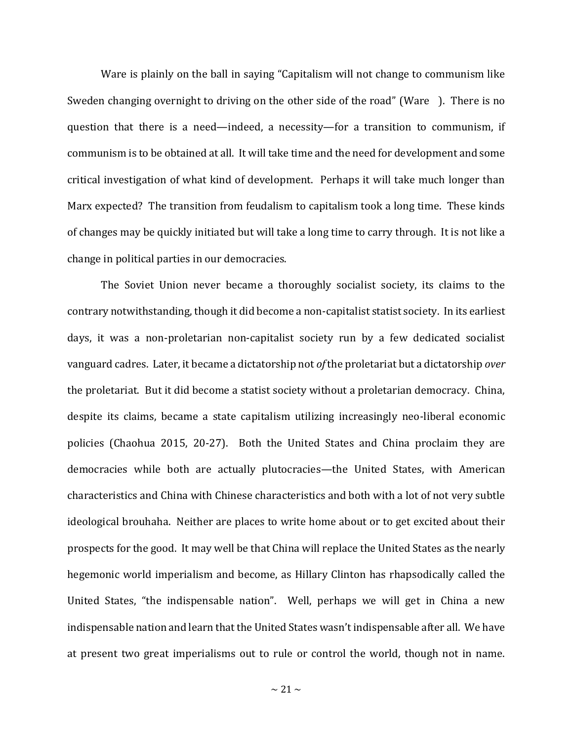Ware is plainly on the ball in saying "Capitalism will not change to communism like Sweden changing overnight to driving on the other side of the road" (Ware ). There is no question that there is a need—indeed, a necessity—for a transition to communism, if communism is to be obtained at all. It will take time and the need for development and some critical investigation of what kind of development. Perhaps it will take much longer than Marx expected? The transition from feudalism to capitalism took a long time. These kinds of changes may be quickly initiated but will take a long time to carry through. It is not like a change in political parties in our democracies.

The Soviet Union never became a thoroughly socialist society, its claims to the contrary notwithstanding, though it did become a non-capitalist statist society. In its earliest days, it was a non-proletarian non-capitalist society run by a few dedicated socialist vanguard cadres. Later, it became a dictatorship not *of* the proletariat but a dictatorship *over*  the proletariat. But it did become a statist society without a proletarian democracy. China, despite its claims, became a state capitalism utilizing increasingly neo-liberal economic policies (Chaohua 2015, 20-27). Both the United States and China proclaim they are democracies while both are actually plutocracies—the United States, with American characteristics and China with Chinese characteristics and both with a lot of not very subtle ideological brouhaha. Neither are places to write home about or to get excited about their prospects for the good. It may well be that China will replace the United States as the nearly hegemonic world imperialism and become, as Hillary Clinton has rhapsodically called the United States, "the indispensable nation". Well, perhaps we will get in China a new indispensable nation and learn that the United States wasn't indispensable after all. We have at present two great imperialisms out to rule or control the world, though not in name.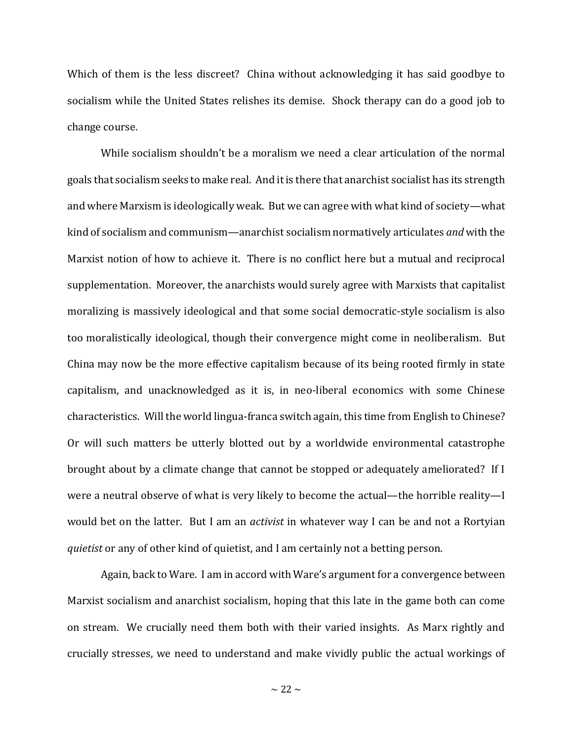Which of them is the less discreet? China without acknowledging it has said goodbye to socialism while the United States relishes its demise. Shock therapy can do a good job to change course.

While socialism shouldn't be a moralism we need a clear articulation of the normal goals that socialism seeks to make real. And it is there that anarchist socialist has its strength and where Marxism is ideologically weak. But we can agree with what kind of society—what kind of socialism and communism—anarchist socialism normatively articulates *and* with the Marxist notion of how to achieve it. There is no conflict here but a mutual and reciprocal supplementation. Moreover, the anarchists would surely agree with Marxists that capitalist moralizing is massively ideological and that some social democratic-style socialism is also too moralistically ideological, though their convergence might come in neoliberalism. But China may now be the more effective capitalism because of its being rooted firmly in state capitalism, and unacknowledged as it is, in neo-liberal economics with some Chinese characteristics. Will the world lingua-franca switch again, this time from English to Chinese? Or will such matters be utterly blotted out by a worldwide environmental catastrophe brought about by a climate change that cannot be stopped or adequately ameliorated? If I were a neutral observe of what is very likely to become the actual—the horrible reality—I would bet on the latter. But I am an *activist* in whatever way I can be and not a Rortyian *quietist* or any of other kind of quietist, and I am certainly not a betting person.

Again, back to Ware. I am in accord with Ware's argument for a convergence between Marxist socialism and anarchist socialism, hoping that this late in the game both can come on stream. We crucially need them both with their varied insights. As Marx rightly and crucially stresses, we need to understand and make vividly public the actual workings of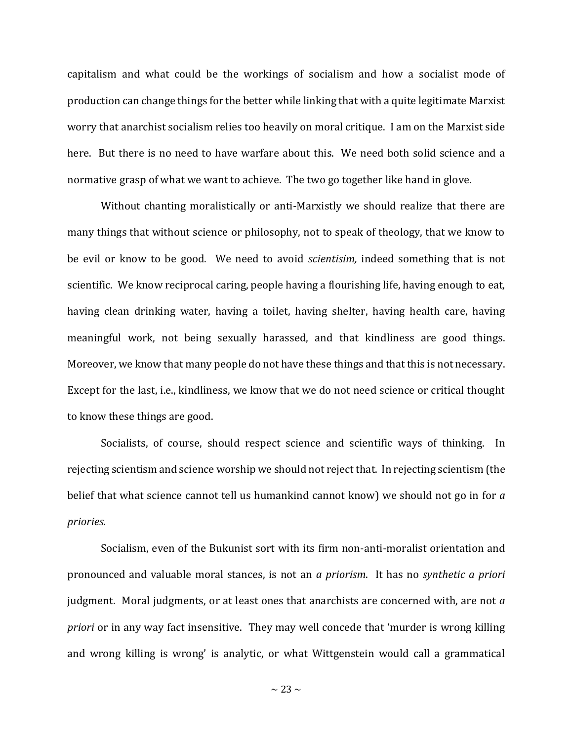capitalism and what could be the workings of socialism and how a socialist mode of production can change things for the better while linking that with a quite legitimate Marxist worry that anarchist socialism relies too heavily on moral critique. I am on the Marxist side here. But there is no need to have warfare about this. We need both solid science and a normative grasp of what we want to achieve. The two go together like hand in glove.

Without chanting moralistically or anti-Marxistly we should realize that there are many things that without science or philosophy, not to speak of theology, that we know to be evil or know to be good. We need to avoid *scientisim,* indeed something that is not scientific. We know reciprocal caring, people having a flourishing life, having enough to eat, having clean drinking water, having a toilet, having shelter, having health care, having meaningful work, not being sexually harassed, and that kindliness are good things. Moreover, we know that many people do not have these things and that this is not necessary. Except for the last, i.e., kindliness, we know that we do not need science or critical thought to know these things are good.

Socialists, of course, should respect science and scientific ways of thinking. In rejecting scientism and science worship we should not reject that. In rejecting scientism (the belief that what science cannot tell us humankind cannot know) we should not go in for *a priories*.

Socialism, even of the Bukunist sort with its firm non-anti-moralist orientation and pronounced and valuable moral stances, is not an *a priorism*. It has no *synthetic a priori*  judgment. Moral judgments, or at least ones that anarchists are concerned with, are not *a priori* or in any way fact insensitive. They may well concede that 'murder is wrong killing and wrong killing is wrong' is analytic, or what Wittgenstein would call a grammatical

 $\sim$  23  $\sim$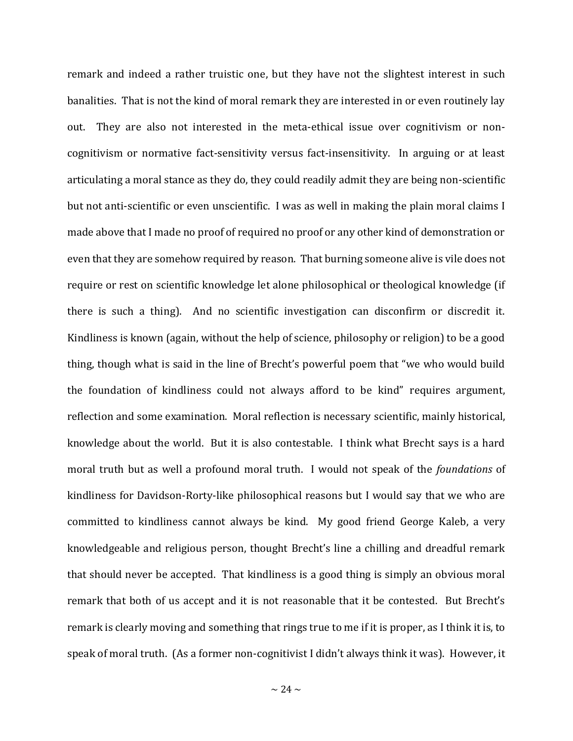remark and indeed a rather truistic one, but they have not the slightest interest in such banalities. That is not the kind of moral remark they are interested in or even routinely lay out. They are also not interested in the meta-ethical issue over cognitivism or noncognitivism or normative fact-sensitivity versus fact-insensitivity. In arguing or at least articulating a moral stance as they do, they could readily admit they are being non-scientific but not anti-scientific or even unscientific. I was as well in making the plain moral claims I made above that I made no proof of required no proof or any other kind of demonstration or even that they are somehow required by reason. That burning someone alive is vile does not require or rest on scientific knowledge let alone philosophical or theological knowledge (if there is such a thing). And no scientific investigation can disconfirm or discredit it. Kindliness is known (again, without the help of science, philosophy or religion) to be a good thing, though what is said in the line of Brecht's powerful poem that "we who would build the foundation of kindliness could not always afford to be kind" requires argument, reflection and some examination. Moral reflection is necessary scientific, mainly historical, knowledge about the world. But it is also contestable. I think what Brecht says is a hard moral truth but as well a profound moral truth. I would not speak of the *foundations* of kindliness for Davidson-Rorty-like philosophical reasons but I would say that we who are committed to kindliness cannot always be kind. My good friend George Kaleb, a very knowledgeable and religious person, thought Brecht's line a chilling and dreadful remark that should never be accepted. That kindliness is a good thing is simply an obvious moral remark that both of us accept and it is not reasonable that it be contested. But Brecht's remark is clearly moving and something that rings true to me if it is proper, as I think it is, to speak of moral truth. (As a former non-cognitivist I didn't always think it was). However, it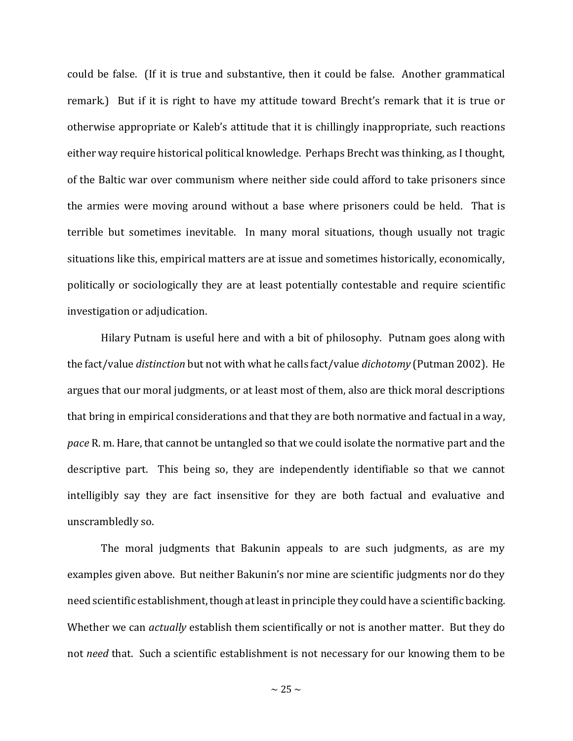could be false. (If it is true and substantive, then it could be false. Another grammatical remark.) But if it is right to have my attitude toward Brecht's remark that it is true or otherwise appropriate or Kaleb's attitude that it is chillingly inappropriate, such reactions either way require historical political knowledge. Perhaps Brecht was thinking, as I thought, of the Baltic war over communism where neither side could afford to take prisoners since the armies were moving around without a base where prisoners could be held. That is terrible but sometimes inevitable. In many moral situations, though usually not tragic situations like this, empirical matters are at issue and sometimes historically, economically, politically or sociologically they are at least potentially contestable and require scientific investigation or adjudication.

Hilary Putnam is useful here and with a bit of philosophy. Putnam goes along with the fact/value *distinction* but not with what he calls fact/value *dichotomy* (Putman 2002). He argues that our moral judgments, or at least most of them, also are thick moral descriptions that bring in empirical considerations and that they are both normative and factual in a way, *pace* R. m. Hare, that cannot be untangled so that we could isolate the normative part and the descriptive part. This being so, they are independently identifiable so that we cannot intelligibly say they are fact insensitive for they are both factual and evaluative and unscrambledly so.

The moral judgments that Bakunin appeals to are such judgments, as are my examples given above. But neither Bakunin's nor mine are scientific judgments nor do they need scientific establishment, though at least in principle they could have a scientific backing. Whether we can *actually* establish them scientifically or not is another matter. But they do not *need* that. Such a scientific establishment is not necessary for our knowing them to be

 $\sim$  25  $\sim$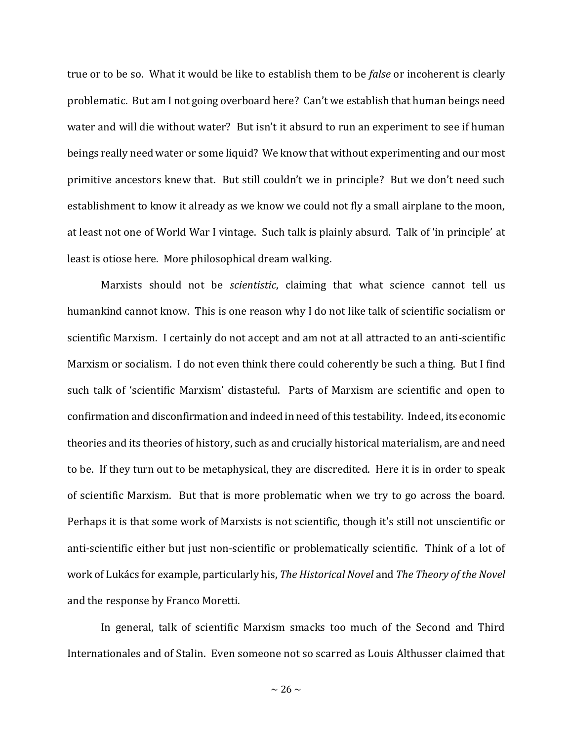true or to be so. What it would be like to establish them to be *false* or incoherent is clearly problematic. But am I not going overboard here? Can't we establish that human beings need water and will die without water? But isn't it absurd to run an experiment to see if human beings really need water or some liquid? We know that without experimenting and our most primitive ancestors knew that. But still couldn't we in principle? But we don't need such establishment to know it already as we know we could not fly a small airplane to the moon, at least not one of World War I vintage. Such talk is plainly absurd. Talk of 'in principle' at least is otiose here. More philosophical dream walking.

Marxists should not be *scientistic*, claiming that what science cannot tell us humankind cannot know. This is one reason why I do not like talk of scientific socialism or scientific Marxism. I certainly do not accept and am not at all attracted to an anti-scientific Marxism or socialism. I do not even think there could coherently be such a thing. But I find such talk of 'scientific Marxism' distasteful. Parts of Marxism are scientific and open to confirmation and disconfirmation and indeed in need of this testability. Indeed, its economic theories and its theories of history, such as and crucially historical materialism, are and need to be. If they turn out to be metaphysical, they are discredited. Here it is in order to speak of scientific Marxism. But that is more problematic when we try to go across the board. Perhaps it is that some work of Marxists is not scientific, though it's still not unscientific or anti-scientific either but just non-scientific or problematically scientific. Think of a lot of work of Lukács for example, particularly his, *The Historical Novel* and *The Theory of the Novel* and the response by Franco Moretti.

In general, talk of scientific Marxism smacks too much of the Second and Third Internationales and of Stalin. Even someone not so scarred as Louis Althusser claimed that

 $\sim$  26  $\sim$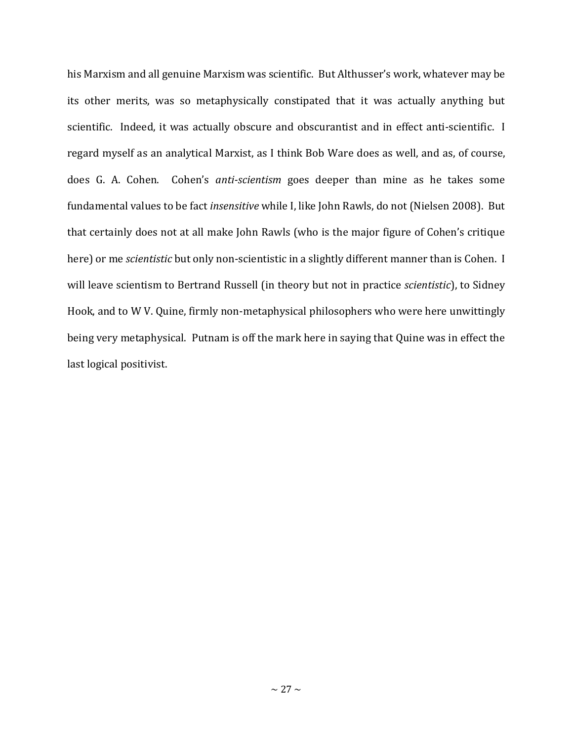his Marxism and all genuine Marxism was scientific. But Althusser's work, whatever may be its other merits, was so metaphysically constipated that it was actually anything but scientific. Indeed, it was actually obscure and obscurantist and in effect anti-scientific. I regard myself as an analytical Marxist, as I think Bob Ware does as well, and as, of course, does G. A. Cohen. Cohen's *anti-scientism* goes deeper than mine as he takes some fundamental values to be fact *insensitive* while I, like John Rawls, do not (Nielsen 2008). But that certainly does not at all make John Rawls (who is the major figure of Cohen's critique here) or me *scientistic* but only non-scientistic in a slightly different manner than is Cohen. I will leave scientism to Bertrand Russell (in theory but not in practice *scientistic*), to Sidney Hook, and to W V. Quine, firmly non-metaphysical philosophers who were here unwittingly being very metaphysical. Putnam is off the mark here in saying that Quine was in effect the last logical positivist.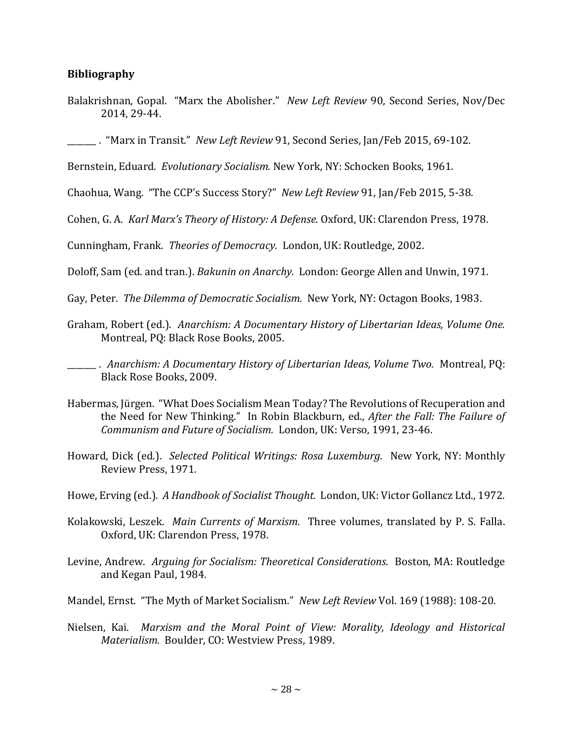## **Bibliography**

Balakrishnan, Gopal. "Marx the Abolisher." *New Left Review* 90, Second Series, Nov/Dec 2014, 29-44.

\_\_\_\_\_\_\_ . "Marx in Transit." *New Left Review* 91, Second Series, Jan/Feb 2015, 69-102.

Bernstein, Eduard. *Evolutionary Socialism.* New York, NY: Schocken Books, 1961.

Chaohua, Wang. "The CCP's Success Story?" *New Left Review* 91, Jan/Feb 2015, 5-38.

Cohen, G. A. *Karl Marx's Theory of History: A Defense.* Oxford, UK: Clarendon Press, 1978.

Cunningham, Frank. *Theories of Democracy.* London, UK: Routledge, 2002.

Doloff, Sam (ed. and tran.). *Bakunin on Anarchy.* London: George Allen and Unwin, 1971.

Gay, Peter. *The Dilemma of Democratic Socialism.* New York, NY: Octagon Books, 1983.

Graham, Robert (ed.). *Anarchism: A Documentary History of Libertarian Ideas, Volume One.*  Montreal, PQ: Black Rose Books, 2005.

\_\_\_\_\_\_\_ . *Anarchism: A Documentary History of Libertarian Ideas, Volume Two.* Montreal, PQ: Black Rose Books, 2009.

- Habermas, Jürgen. "What Does Socialism Mean Today? The Revolutions of Recuperation and the Need for New Thinking." In Robin Blackburn, ed., *After the Fall: The Failure of Communism and Future of Socialism.* London, UK: Verso, 1991, 23-46.
- Howard, Dick (ed.). *Selected Political Writings: Rosa Luxemburg.* New York, NY: Monthly Review Press, 1971.
- Howe, Erving (ed.). *A Handbook of Socialist Thought.* London, UK: Victor Gollancz Ltd., 1972.
- Kolakowski, Leszek. *Main Currents of Marxism.* Three volumes, translated by P. S. Falla. Oxford, UK: Clarendon Press, 1978.
- Levine, Andrew. *Arguing for Socialism: Theoretical Considerations.* Boston, MA: Routledge and Kegan Paul, 1984.
- Mandel, Ernst. "The Myth of Market Socialism." *New Left Review* Vol. 169 (1988): 108-20.
- Nielsen, Kai. *Marxism and the Moral Point of View: Morality, Ideology and Historical Materialism.* Boulder, CO: Westview Press, 1989.